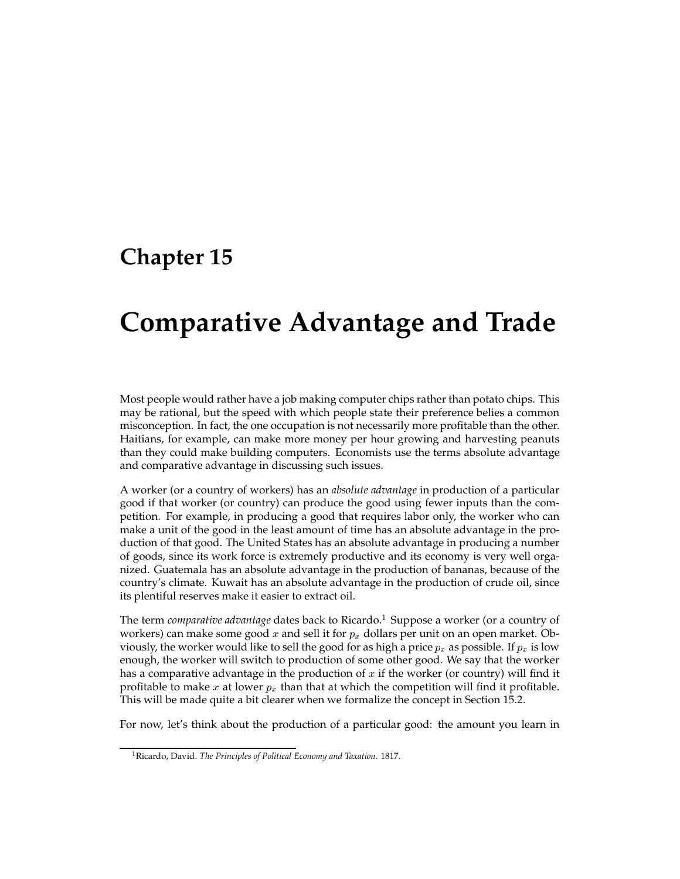## **Chapter 15**

# **Comparative Advantage and Trade**

Most people would rather have a job making computer chips rather than potato chips. This may be rational, but the speed with which people state their preference belies a common misconception. In fact, the one occupation is not necessarily more profitable than the other. Haitians, for example, can make more money per hour growing and harvesting peanuts than they could make building computers. Economists use the terms absolute advantage and comparative advantage in discussing such issues.

A worker (or a country of workers) has an *absolute advantage* in production of a particular good if that worker (or country) can produce the good using fewer inputs than the competition. For example, in producing a good that requires labor only, the worker who can make a unit of the good in the least amount of time has an absolute advantage in the production of that good. The United States has an absolute advantage in producing a number of goods, since its work force is extremely productive and its economy is very well organized. Guatemala has an absolute advantage in the production of bananas, because of the country's climate. Kuwait has an absolute advantage in the production of crude oil, since its plentiful reserves make it easier to extract oil.

The term *comparative advantage* dates back to Ricardo.<sup>1</sup> Suppose a worker (or a country of workers) can make some good x and sell it for  $p_x$  dollars per unit on an open market. Obviously, the worker would like to sell the good for as high a price  $p_x$  as possible. If  $p_x$  is low enough, the worker will switch to production of some other good. We say that the worker has a comparative advantage in the production of  $x$  if the worker (or country) will find it profitable to make x at lower  $p_x$  than that at which the competition will find it profitable. This will be made quite a bit clearer when we formalize the concept in Section 15.2.

For now, let's think about the production of a particular good: the amount you learn in

<sup>1</sup>Ricardo, David. *The Principles of Political Economy and Taxation*. 1817.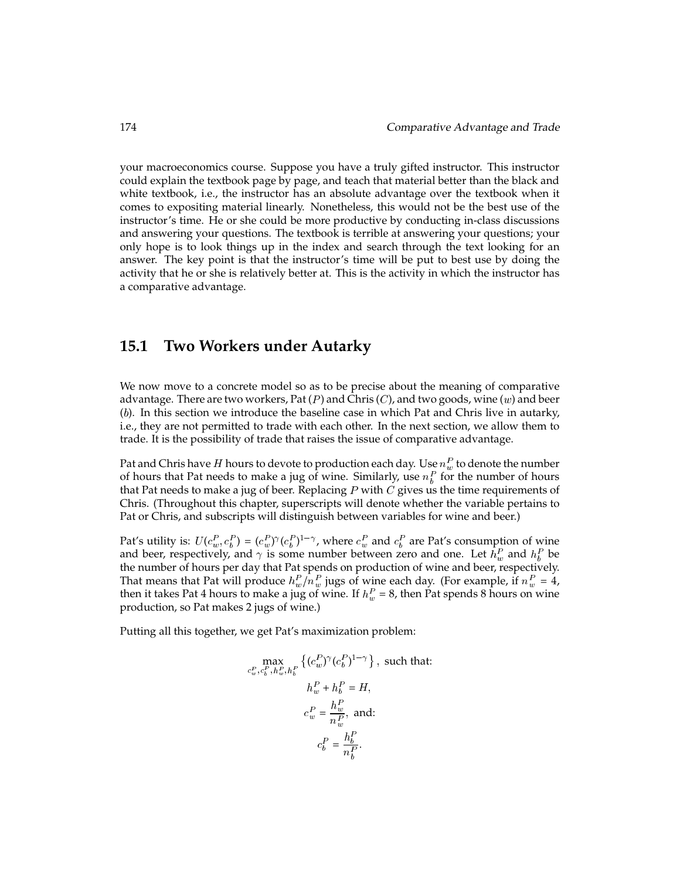your macroeconomics course. Suppose you have a truly gifted instructor. This instructor could explain the textbook page by page, and teach that material better than the black and white textbook, i.e., the instructor has an absolute advantage over the textbook when it comes to expositing material linearly. Nonetheless, this would not be the best use of the instructor's time. He or she could be more productive by conducting in-class discussions and answering your questions. The textbook is terrible at answering your questions; your only hope is to look things up in the index and search through the text looking for an answer. The key point is that the instructor's time will be put to best use by doing the activity that he or she is relatively better at. This is the activity in which the instructor has a comparative advantage.

### **15.1 Two Workers under Autarky**

We now move to a concrete model so as to be precise about the meaning of comparative advantage. There are two workers, Pat  $(P)$  and Chris  $(C)$ , and two goods, wine  $(w)$  and beer (b). In this section we introduce the baseline case in which Pat and Chris live in autarky, i.e., they are not permitted to trade with each other. In the next section, we allow them to trade. It is the possibility of trade that raises the issue of comparative advantage.

Pat and Chris have H hours to devote to production each day. Use  $n_w^P$  to denote the number of hours that Pat needs to make a jug of wine. Similarly, use  $n_b^P$  for the number of hours that Pat needs to make a jug of beer. Replacing  $P$  with  $\dot C$  gives us the time requirements of Chris. (Throughout this chapter, superscripts will denote whether the variable pertains to Pat or Chris, and subscripts will distinguish between variables for wine and beer.)

Pat's utility is:  $U(c_w^P, c_b^P) = (c_w^P)^\gamma (c_b^P)^{1-\gamma}$ , where  $c_w^P$  and  $c_b^P$  are Pat's consumption of wine and beer, respectively, and  $\gamma$  is some number between zero and one. Let  $h_w^P$  and  $h_b^P$  be <sup>b</sup> the number of hours per day that Pat spends on production of wine and beer, respectively. That means that Pat will produce  $h_w^P/n_w^P$  jugs of wine each day. (For example, if  $n_w^P = 4$ , then it takes Pat 4 hours to make a jug of wine. If  $h_w^P = 8$ , then Pat spends 8 hours on wine production, so Pat makes 2 jugs of wine.)

Putting all this together, we get Pat's maximization problem:

$$
\max_{c_w^P, c_b^P, h_w^P, h_b^P} \left\{ (c_w^P)^{\gamma} (c_b^P)^{1-\gamma} \right\}, \text{ such that:}
$$
\n
$$
h_w^P + h_b^P = H,
$$
\n
$$
c_w^P = \frac{h_w^P}{n_w^P}, \text{ and:}
$$
\n
$$
c_b^P = \frac{h_b^P}{n_b^P}.
$$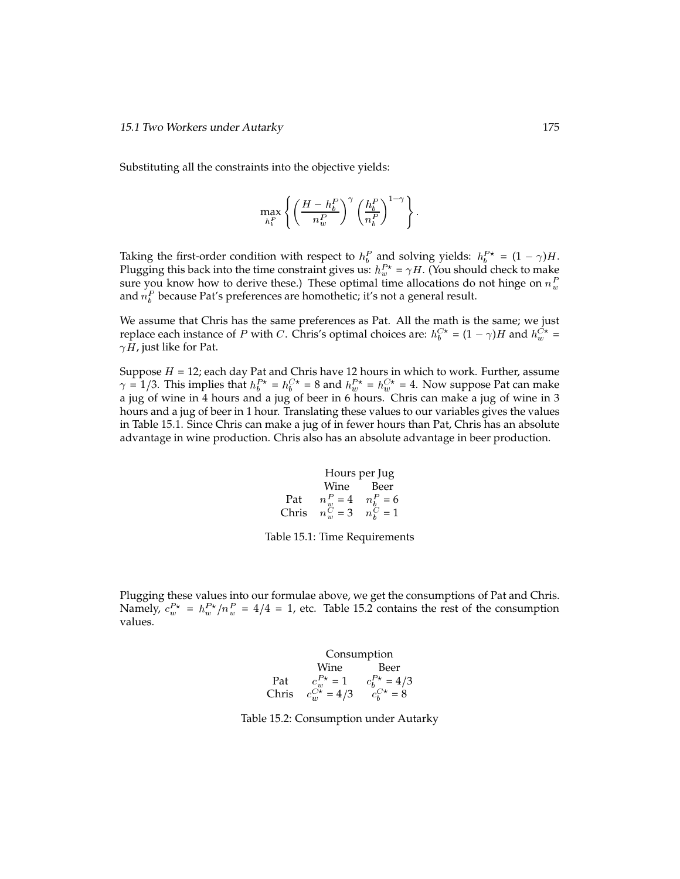Substituting all the constraints into the objective yields:

$$
\max_{h_b^P} \left\{ \left(\frac{H-h_b^P}{n_w^P}\right)^\gamma \left(\frac{h_b^P}{n_b^P}\right)^{1-\gamma} \right\}.
$$

Taking the first-order condition with respect to  $h_b^P$  and solving yields:  $h_b^{P*} = (1 - \gamma)H$ . Plugging this back into the time constraint gives us:  $h_w^{P\star} = \gamma H$ . (You should check to make sure you know how to derive these.) These optimal time allocations do not hinge on  $n_w^P$ and  $n_b^P$  because Pat's preferences are homothetic; it's not a general result.

We assume that Chris has the same preferences as Pat. All the math is the same; we just replace each instance of P with C. Chris's optimal choices are:  $h_b^C$  \* =  $(1 - \gamma)H$  and  $h_w^{C*}$  =  $\gamma H$ , just like for Pat.

Suppose  $H = 12$ ; each day Pat and Chris have 12 hours in which to work. Further, assume  $\gamma = 1/3$ . This implies that  $h_b^P{}^{\star} = h_b^C{}^{\star} = 8$  and  $h_w^P{}^{\star} = h_w^C{}^{\star} = 4$ . Now suppose Pat can make a jug of wine in 4 hours and a jug of beer in 6 hours. Chris can make a jug of wine in 3 hours and a jug of beer in 1 hour. Translating these values to our variables gives the values in Table 15.1. Since Chris can make a jug of in fewer hours than Pat, Chris has an absolute advantage in wine production. Chris also has an absolute advantage in beer production.

House per Jug

\nWine

\nBeer

\nPat

\n
$$
n_w^P = 4 \quad n_b^P = 6
$$
\nChris

\n
$$
n_w^C = 3 \quad n_b^C = 1
$$

Table 15.1: Time Requirements

Plugging these values into our formulae above, we get the consumptions of Pat and Chris. Namely,  $c_w^{P*} = h_w^{P*}/n_w^P = 4/4 = 1$ , etc. Table 15.2 contains the rest of the consumption values.

|       | Consumption      |                     |
|-------|------------------|---------------------|
|       | Wine             | Beer                |
| Pat   | $c_w^{P*}=1$     | $c_k^{P*} = 4/3$    |
| Chris | $c_w^{C*} = 4/3$ | $c_{\kappa}^{C*}=8$ |

Table 15.2: Consumption under Autarky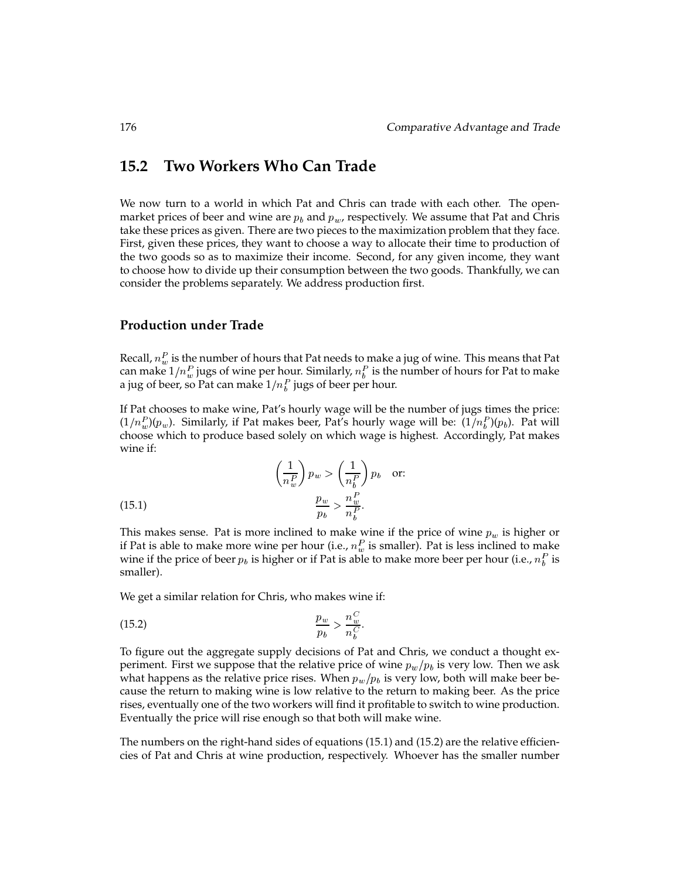## **15.2 Two Workers Who Can Trade**

We now turn to a world in which Pat and Chris can trade with each other. The openmarket prices of beer and wine are  $p_b$  and  $p_w$ , respectively. We assume that Pat and Chris take these prices as given. There are two pieces to the maximization problem that they face. First, given these prices, they want to choose a way to allocate their time to production of the two goods so as to maximize their income. Second, for any given income, they want to choose how to divide up their consumption between the two goods. Thankfully, we can consider the problems separately. We address production first.

#### **Production under Trade**

Recall,  $n_w^P$  is the number of hours that Pat needs to make a jug of wine. This means that Pat can make  $1/n_w^P$  jugs of wine per hour. Similarly,  $n_b^P$  is the number of hours for Pat to make a jug of beer, so Pat can make  $1/n_b^P$  jugs of beer per hour.

If Pat chooses to make wine, Pat's hourly wage will be the number of jugs times the price:  $(1/n_w^D)(p_w)$ . Similarly, if Pat makes beer, Pat's hourly wage will be:  $(1/n_p^D)(p_b)$ . Pat will choose which to produce based solely on which wage is highest. Accordingly, Pat makes wine if:

(15.1) 
$$
\left(\frac{1}{n_w^P}\right) p_w > \left(\frac{1}{n_b^P}\right) p_b \text{ or:}
$$

$$
\frac{p_w}{p_b} > \frac{n_w^P}{n_b^P}.
$$

This makes sense. Pat is more inclined to make wine if the price of wine  $p_w$  is higher or if Pat is able to make more wine per hour (i.e.,  $n_w^P$  is smaller). Pat is less inclined to make wine if the price of beer  $p_b$  is higher or if Pat is able to make more beer per hour (i.e.,  $n_b^P$  is smaller).

We get a similar relation for Chris, who makes wine if:

$$
\frac{p_w}{p_b} > \frac{n_w^C}{n_b^C}.
$$

To figure out the aggregate supply decisions of Pat and Chris, we conduct a thought experiment. First we suppose that the relative price of wine  $p_w/p_b$  is very low. Then we ask what happens as the relative price rises. When  $p_w/p_b$  is very low, both will make beer because the return to making wine is low relative to the return to making beer. As the price rises, eventually one of the two workers will find it profitable to switch to wine production. Eventually the price will rise enough so that both will make wine.

The numbers on the right-hand sides of equations (15.1) and (15.2) are the relative efficiencies of Pat and Chris at wine production, respectively. Whoever has the smaller number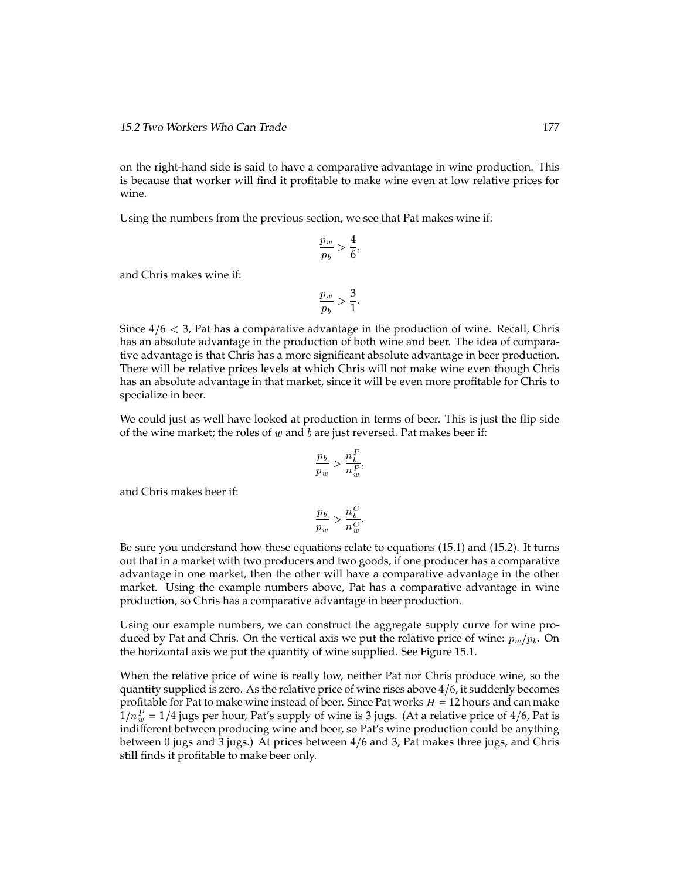on the right-hand side is said to have a comparative advantage in wine production. This is because that worker will find it profitable to make wine even at low relative prices for wine.

Using the numbers from the previous section, we see that Pat makes wine if:

$$
\frac{p_w}{p_b} > \frac{4}{6},
$$

and Chris makes wine if:

$$
\frac{p_w}{p_b} > \frac{3}{1}.
$$

Since  $4/6 < 3$ , Pat has a comparative advantage in the production of wine. Recall, Chris has an absolute advantage in the production of both wine and beer. The idea of comparative advantage is that Chris has a more significant absolute advantage in beer production. There will be relative prices levels at which Chris will not make wine even though Chris has an absolute advantage in that market, since it will be even more profitable for Chris to specialize in beer.

We could just as well have looked at production in terms of beer. This is just the flip side of the wine market; the roles of  $w$  and  $b$  are just reversed. Pat makes beer if:

$$
\frac{p_b}{p_w} > \frac{n_b^P}{n_w^P},
$$

and Chris makes beer if:

$$
\frac{p_b}{p_w} > \frac{n_b^C}{n_w^C}.
$$

Be sure you understand how these equations relate to equations (15.1) and (15.2). It turns out that in a market with two producers and two goods, if one producer has a comparative advantage in one market, then the other will have a comparative advantage in the other market. Using the example numbers above, Pat has a comparative advantage in wine production, so Chris has a comparative advantage in beer production.

Using our example numbers, we can construct the aggregate supply curve for wine produced by Pat and Chris. On the vertical axis we put the relative price of wine:  $p_w/p_b$ . On the horizontal axis we put the quantity of wine supplied. See Figure 15.1.

When the relative price of wine is really low, neither Pat nor Chris produce wine, so the quantity supplied is zero. As the relative price of wine rises above  $4/6$ , it suddenly becomes profitable for Pat to make wine instead of beer. Since Pat works  $H = 12$  hours and can make  $1/n_w^P = 1/4$  jugs per hour, Pat's supply of wine is 3 jugs. (At a relative price of 4/6, Pat is indifferent between producing wine and beer, so Pat's wine production could be anything between  $0$  jugs and  $3$  jugs.) At prices between  $4/6$  and  $3$ , Pat makes three jugs, and Chris still finds it profitable to make beer only.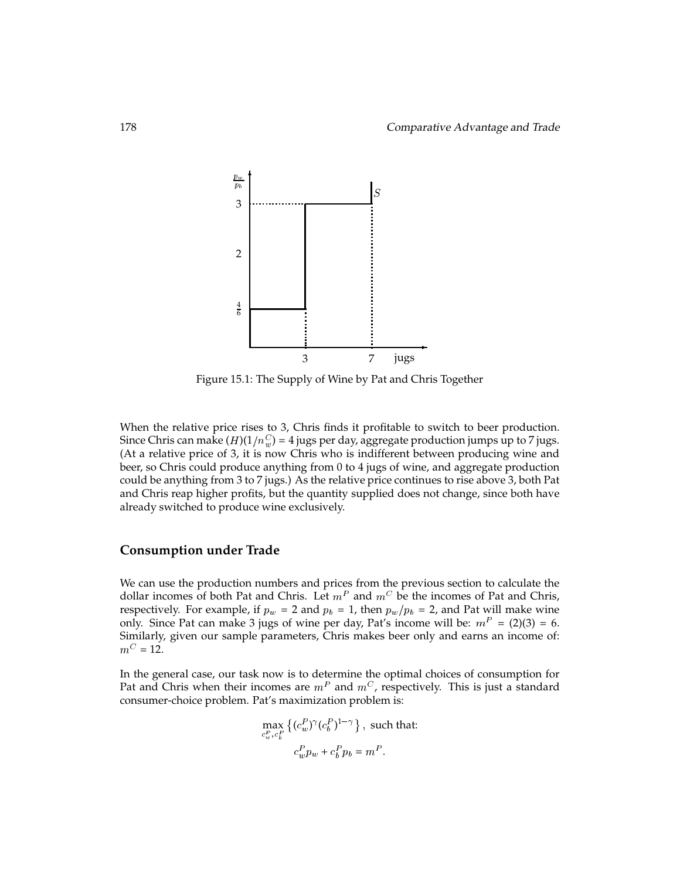

Figure 15.1: The Supply of Wine by Pat and Chris Together

When the relative price rises to 3, Chris finds it profitable to switch to beer production. Since Chris can make  $(H) (1/n_w^{\scriptscriptstyle C})$  = 4 jugs per day, aggregate production jumps up to 7 jugs. (At a relative price of 3, it is now Chris who is indifferent between producing wine and beer, so Chris could produce anything from 0 to 4 jugs of wine, and aggregate production could be anything from 3 to 7 jugs.) As the relative price continues to rise above 3, both Pat and Chris reap higher profits, but the quantity supplied does not change, since both have already switched to produce wine exclusively.

#### **Consumption under Trade**

We can use the production numbers and prices from the previous section to calculate the dollar incomes of both Pat and Chris. Let  $m^P$  and  $m^C$  be the incomes of Pat and Chris, respectively. For example, if  $p_w = 2$  and  $p_b = 1$ , then  $p_w/p_b = 2$ , and Pat will make wine only. Since Pat can make 3 jugs of wine per day, Pat's income will be:  $m^P = (2)(3) = 6$ . Similarly, given our sample parameters, Chris makes beer only and earns an income of:  $m^{C} = 12$ .

In the general case, our task now is to determine the optimal choices of consumption for Pat and Chris when their incomes are  $m^P$  and  $m^C$ , respectively. This is just a standard consumer-choice problem. Pat's maximization problem is:

$$
\max_{c_w^P, c_b^P} \left\{ (c_w^P)^\gamma (c_b^P)^{1-\gamma} \right\}, \text{ such that:}
$$

$$
c_w^P p_w + c_b^P p_b = m^P.
$$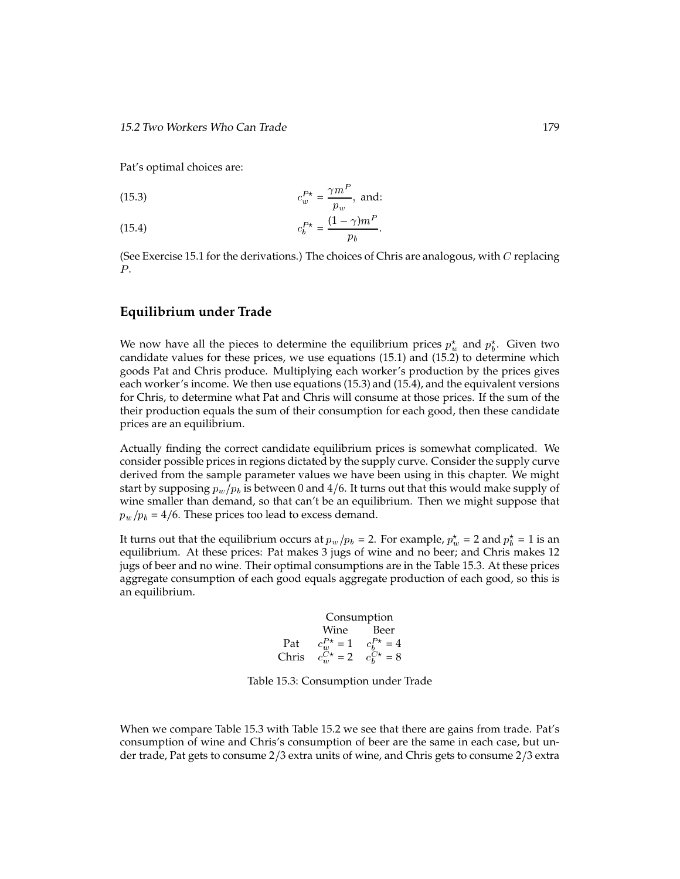#### 15.2 Two Workers Who Can Trade 179

Pat's optimal choices are:

$$
c_w^{P*} = \frac{\gamma m^P}{p_w}, \text{ and:}
$$

$$
c_b^{P\star} = \frac{(1-\gamma)m^P}{p_b}.
$$

(See Exercise 15.1 for the derivations.) The choices of Chris are analogous, with  $C$  replacing  $P$ .

#### **Equilibrium under Trade**

We now have all the pieces to determine the equilibrium prices  $p_w^*$  and  $p_b^*$ . Given two candidate values for these prices, we use equations (15.1) and (15.2) to determine which goods Pat and Chris produce. Multiplying each worker's production by the prices gives each worker's income. We then use equations (15.3) and (15.4), and the equivalent versions for Chris, to determine what Pat and Chris will consume at those prices. If the sum of the their production equals the sum of their consumption for each good, then these candidate prices are an equilibrium.

Actually finding the correct candidate equilibrium prices is somewhat complicated. We consider possible prices in regions dictated by the supply curve. Consider the supply curve derived from the sample parameter values we have been using in this chapter. We might start by supposing  $p_w/p_b$  is between 0 and 4/6. It turns out that this would make supply of wine smaller than demand, so that can't be an equilibrium. Then we might suppose that  $p_w/p_b = 4/6$ . These prices too lead to excess demand.

It turns out that the equilibrium occurs at  $p_w/p_b = 2.$  For example,  $p_w^* = 2$  and  $p_b^* = 1$  is an equilibrium. At these prices: Pat makes 3 jugs of wine and no beer; and Chris makes 12 jugs of beer and no wine. Their optimal consumptions are in the Table 15.3. At these prices aggregate consumption of each good equals aggregate production of each good, so this is an equilibrium.

> Consumption Wine Beer Pat  $c_w^{P*} = 1$   $c_b^{P*} = 4$ Chris  $c_w^{C*} = 2$   $c_b^{C*} = 8$

Table 15.3: Consumption under Trade

When we compare Table 15.3 with Table 15.2 we see that there are gains from trade. Pat's consumption of wine and Chris's consumption of beer are the same in each case, but under trade, Pat gets to consume  $2/3$  extra units of wine, and Chris gets to consume  $2/3$  extra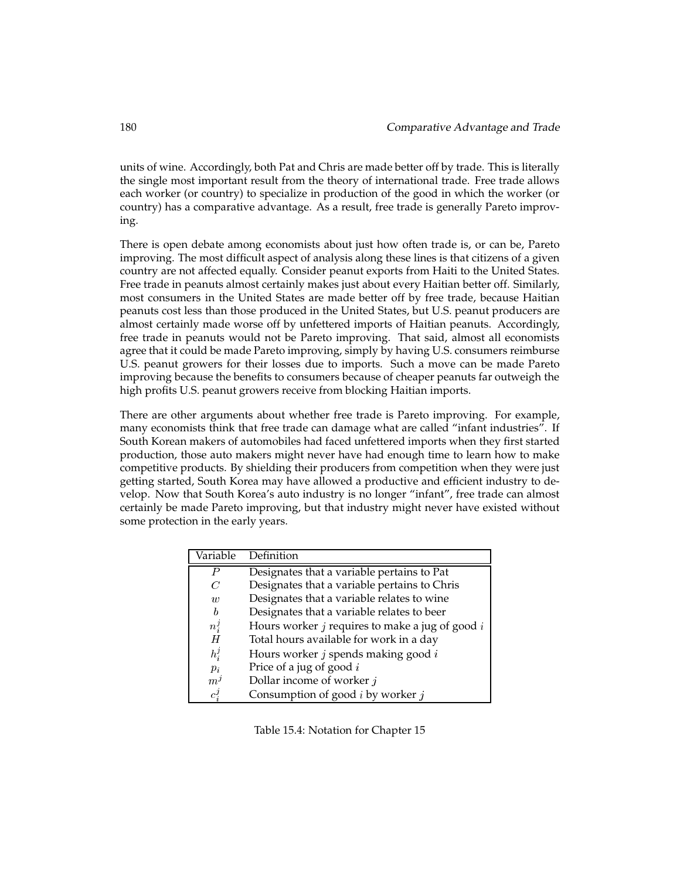units of wine. Accordingly, both Pat and Chris are made better off by trade. This is literally the single most important result from the theory of international trade. Free trade allows each worker (or country) to specialize in production of the good in which the worker (or country) has a comparative advantage. As a result, free trade is generally Pareto improving.

There is open debate among economists about just how often trade is, or can be, Pareto improving. The most difficult aspect of analysis along these lines is that citizens of a given country are not affected equally. Consider peanut exports from Haiti to the United States. Free trade in peanuts almost certainly makes just about every Haitian better off. Similarly, most consumers in the United States are made better off by free trade, because Haitian peanuts cost less than those produced in the United States, but U.S. peanut producers are almost certainly made worse off by unfettered imports of Haitian peanuts. Accordingly, free trade in peanuts would not be Pareto improving. That said, almost all economists agree that it could be made Pareto improving, simply by having U.S. consumers reimburse U.S. peanut growers for their losses due to imports. Such a move can be made Pareto improving because the benefits to consumers because of cheaper peanuts far outweigh the high profits U.S. peanut growers receive from blocking Haitian imports.

There are other arguments about whether free trade is Pareto improving. For example, many economists think that free trade can damage what are called "infant industries". If South Korean makers of automobiles had faced unfettered imports when they first started production, those auto makers might never have had enough time to learn how to make competitive products. By shielding their producers from competition when they were just getting started, South Korea may have allowed a productive and efficient industry to develop. Now that South Korea's auto industry is no longer "infant", free trade can almost certainly be made Pareto improving, but that industry might never have existed without some protection in the early years.

| Variable | Definition                                          |
|----------|-----------------------------------------------------|
| Ρ        | Designates that a variable pertains to Pat          |
|          | Designates that a variable pertains to Chris        |
| w        | Designates that a variable relates to wine          |
| b        | Designates that a variable relates to beer          |
| $n_i^j$  | Hours worker $j$ requires to make a jug of good $i$ |
| Н        | Total hours available for work in a day             |
| $h_i^j$  | Hours worker $j$ spends making good $i$             |
| $p_i$    | Price of a jug of good $i$                          |
| $m^j$    | Dollar income of worker j                           |
| $c_i^j$  | Consumption of good $i$ by worker $j$               |

Table 15.4: Notation for Chapter 15